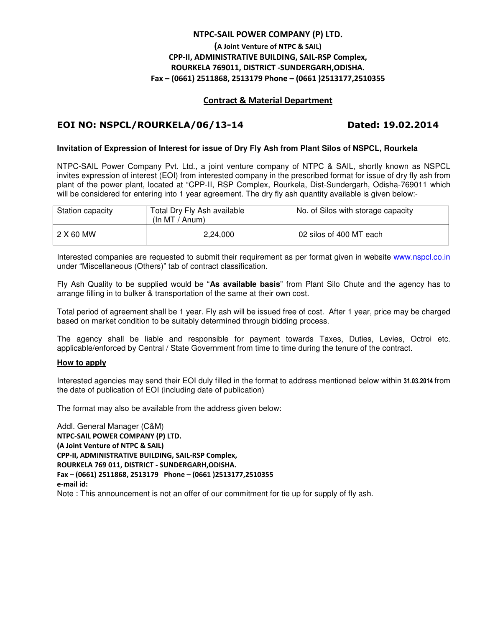## **NTPC-SAIL POWER COMPANY (P) LTD.**

# **(A Joint Venture of NTPC & SAIL) CPP-II, ADMINISTRATIVE BUILDING, SAIL-RSP Complex, ROURKELA 769011, DISTRICT -SUNDERGARH,ODISHA. Fax – (0661) 2511868, 2513179 Phone – (0661 )2513177,2510355**

### **Contract & Material Department**

# **EOI NO: NSPCL/ROURKELA/06/13-14 Dated: 19.02.2014**

### **Invitation of Expression of Interest for issue of Dry Fly Ash from Plant Silos of NSPCL, Rourkela**

NTPC-SAIL Power Company Pvt. Ltd., a joint venture company of NTPC & SAIL, shortly known as NSPCL invites expression of interest (EOI) from interested company in the prescribed format for issue of dry fly ash from plant of the power plant, located at "CPP-II, RSP Complex, Rourkela, Dist-Sundergarh, Odisha-769011 which will be considered for entering into 1 year agreement. The dry fly ash quantity available is given below:-

| Station capacity | Total Dry Fly Ash available<br>(ln MT / Anum) | No. of Silos with storage capacity |
|------------------|-----------------------------------------------|------------------------------------|
| 2 X 60 MW        | 2.24.000                                      | 02 silos of 400 MT each            |

Interested companies are requested to submit their requirement as per format given in website www.nspcl.co.in under "Miscellaneous (Others)" tab of contract classification.

Fly Ash Quality to be supplied would be "**As available basis**" from Plant Silo Chute and the agency has to arrange filling in to bulker & transportation of the same at their own cost.

Total period of agreement shall be 1 year. Fly ash will be issued free of cost. After 1 year, price may be charged based on market condition to be suitably determined through bidding process.

The agency shall be liable and responsible for payment towards Taxes, Duties, Levies, Octroi etc. applicable/enforced by Central / State Government from time to time during the tenure of the contract.

### **How to apply**

Interested agencies may send their EOI duly filled in the format to address mentioned below within **31.03.2014** from the date of publication of EOI (including date of publication)

The format may also be available from the address given below:

Addl. General Manager (C&M) **NTPC-SAIL POWER COMPANY (P) LTD. (A Joint Venture of NTPC & SAIL) CPP-II, ADMINISTRATIVE BUILDING, SAIL-RSP Complex, ROURKELA 769 011, DISTRICT - SUNDERGARH,ODISHA. Fax – (0661) 2511868, 2513179 Phone – (0661 )2513177,2510355 e-mail id:**  Note : This announcement is not an offer of our commitment for tie up for supply of fly ash.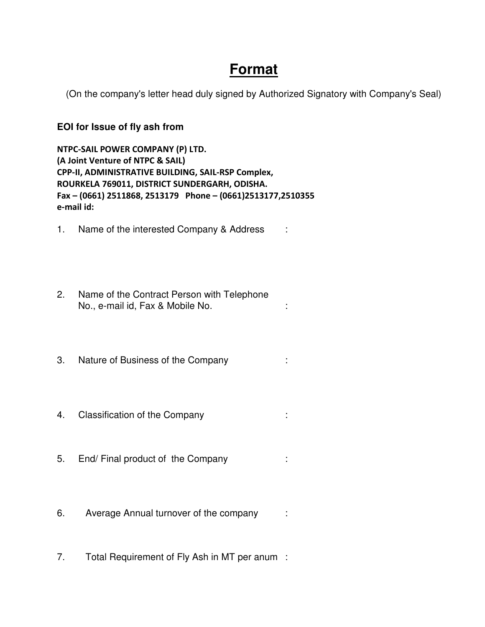# **Format**

(On the company's letter head duly signed by Authorized Signatory with Company's Seal)

# **EOI for Issue of fly ash from**

**NTPC-SAIL POWER COMPANY (P) LTD. (A Joint Venture of NTPC & SAIL) CPP-II, ADMINISTRATIVE BUILDING, SAIL-RSP Complex, ROURKELA 769011, DISTRICT SUNDERGARH, ODISHA. Fax – (0661) 2511868, 2513179 Phone – (0661)2513177,2510355 e-mail id:** 

- 1. Name of the interested Company & Address :
- 2. Name of the Contract Person with Telephone No., e-mail id, Fax & Mobile No.  $\hspace{1.6cm}$ :
- 3. Nature of Business of the Company :
- 4. Classification of the Company :
- 5. End/ Final product of the Company :
- 6. Average Annual turnover of the company :
- 7. Total Requirement of Fly Ash in MT per anum: